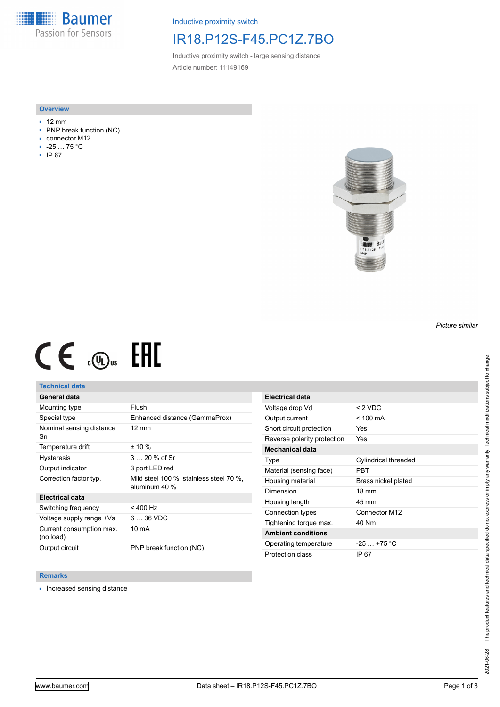**Baumer** Passion for Sensors

Inductive proximity switch

## IR18.P12S-F45.PC1Z.7BO

Inductive proximity switch - large sensing distance Article number: 11149169

### **Overview**

- 12 mm
- PNP break function (NC)
- connector M12
- -25 … 75 °C
- IP 67



# $CE \mathcal{L}$  ( $\mathcal{L}$  and  $SE$

## **Technical data**

## **General data**

| Mounting type                         | Flush                                                    |
|---------------------------------------|----------------------------------------------------------|
| Special type                          | Enhanced distance (GammaProx)                            |
| Nominal sensing distance<br>Sn        | $12 \text{ mm}$                                          |
| Temperature drift                     | $± 10 \%$                                                |
| <b>Hysteresis</b>                     | $320%$ of Sr                                             |
| Output indicator                      | 3 port LED red                                           |
| Correction factor typ.                | Mild steel 100 %, stainless steel 70 %,<br>aluminum 40 % |
| <b>Electrical data</b>                |                                                          |
| Switching frequency                   | $< 400$ Hz                                               |
| Voltage supply range +Vs              | $636$ VDC                                                |
| Current consumption max.<br>(no load) | 10 mA                                                    |
| Output circuit                        | PNP break function (NC)                                  |

| <b>Electrical data</b>      |                             |
|-----------------------------|-----------------------------|
| Voltage drop Vd             | $< 2$ VDC                   |
| Output current              | $<$ 100 mA                  |
| Short circuit protection    | Yes                         |
| Reverse polarity protection | <b>Yes</b>                  |
| <b>Mechanical data</b>      |                             |
| Type                        | <b>Cylindrical threaded</b> |
| Material (sensing face)     | PRT                         |
| Housing material            | Brass nickel plated         |
| Dimension                   | $18 \text{ mm}$             |
| Housing length              | 45 mm                       |
| Connection types            | Connector M12               |
| Tightening torque max.      | 40 Nm                       |
| <b>Ambient conditions</b>   |                             |
| Operating temperature       | $-25$ +75 °C                |
| Protection class            | IP 67                       |

#### **Remarks**

■ Increased sensing distance

*Picture similar*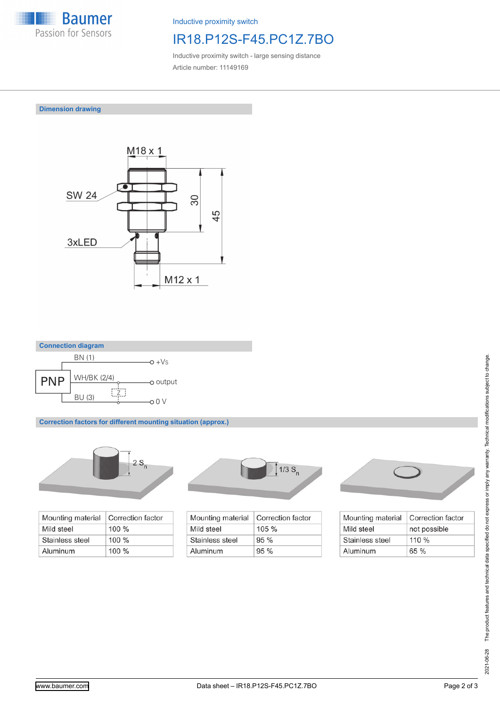

Inductive proximity switch

# IR18.P12S-F45.PC1Z.7BO

Inductive proximity switch - large sensing distance Article number: 11149169

**Dimension drawing**





**Correction factors for different mounting situation (approx.)**



| Mounting material | Correction factor |
|-------------------|-------------------|
| Mild steel        | $100 \%$          |
| Stainless steel   | $100 \%$          |
| Aluminum          | $100 \%$          |



| Mounting material | Correction factor |
|-------------------|-------------------|
| Mild steel        | $105 \%$          |
| Stainless steel   | $95\%$            |
| Aluminum          | 95%               |



| Mounting material | Correction factor |
|-------------------|-------------------|
| Mild steel        | not possible      |
| Stainless steel   | $110\%$           |
| Aluminum          | 65%               |